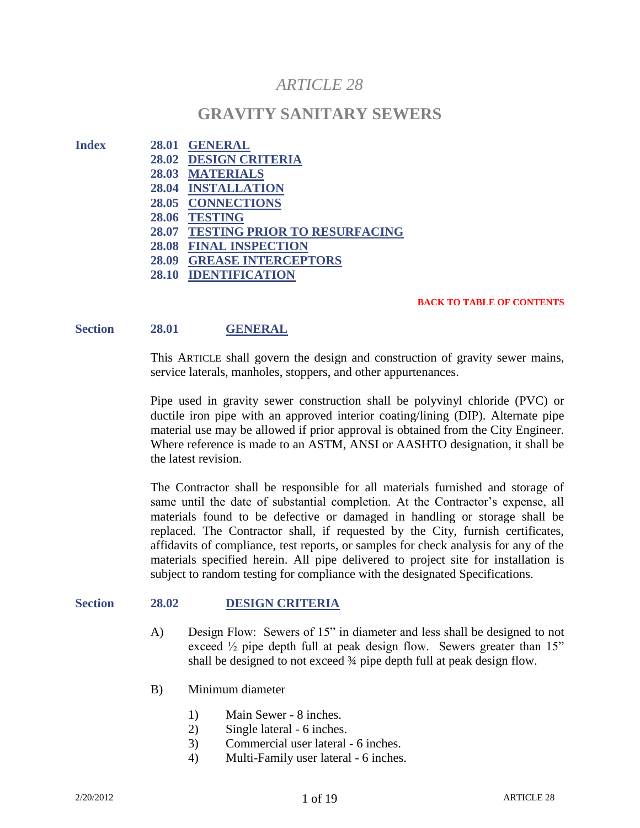# *ARTICLE 28*

# **GRAVITY SANITARY SEWERS**

- **Index 28.01 GENERAL 28.02 DESIGN CRITERIA**
	- **28.03 MATERIALS**
	- **28.04 INSTALLATION**
	- **28.05 CONNECTIONS**
	- **28.06 TESTING**
	- **28.07 TESTING PRIOR TO RESURFACING**
	- **28.08 FINAL INSPECTION**
	- **28.09 GREASE INTERCEPTORS**
	- **28.10 IDENTIFICATION**

#### **BACK TO TABLE OF CONTENTS**

# **Section 28.01 GENERAL**

This ARTICLE shall govern the design and construction of gravity sewer mains, service laterals, manholes, stoppers, and other appurtenances.

Pipe used in gravity sewer construction shall be polyvinyl chloride (PVC) or ductile iron pipe with an approved interior coating/lining (DIP). Alternate pipe material use may be allowed if prior approval is obtained from the City Engineer. Where reference is made to an ASTM, ANSI or AASHTO designation, it shall be the latest revision.

The Contractor shall be responsible for all materials furnished and storage of same until the date of substantial completion. At the Contractor's expense, all materials found to be defective or damaged in handling or storage shall be replaced. The Contractor shall, if requested by the City, furnish certificates, affidavits of compliance, test reports, or samples for check analysis for any of the materials specified herein. All pipe delivered to project site for installation is subject to random testing for compliance with the designated Specifications.

## **Section 28.02 DESIGN CRITERIA**

- A) Design Flow: Sewers of 15" in diameter and less shall be designed to not exceed  $\frac{1}{2}$  pipe depth full at peak design flow. Sewers greater than 15" shall be designed to not exceed ¾ pipe depth full at peak design flow.
- B) Minimum diameter
	- 1) Main Sewer 8 inches.
	- 2) Single lateral 6 inches.
	- 3) Commercial user lateral 6 inches.
	- 4) Multi-Family user lateral 6 inches.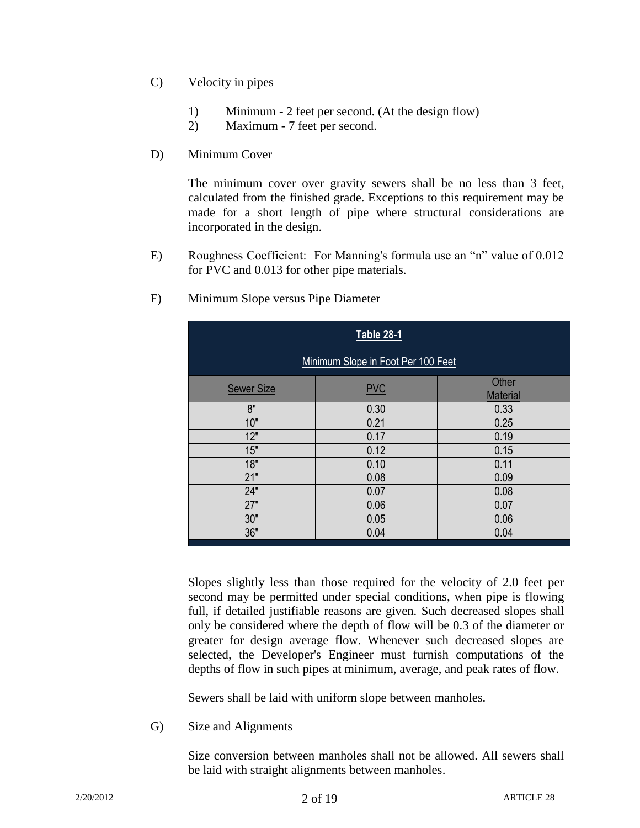- C) Velocity in pipes
	- 1) Minimum 2 feet per second. (At the design flow)
	- 2) Maximum 7 feet per second.
- D) Minimum Cover

The minimum cover over gravity sewers shall be no less than 3 feet, calculated from the finished grade. Exceptions to this requirement may be made for a short length of pipe where structural considerations are incorporated in the design.

E) Roughness Coefficient: For Manning's formula use an "n" value of 0.012 for PVC and 0.013 for other pipe materials.

| <b>Table 28-1</b>                  |            |                          |  |  |
|------------------------------------|------------|--------------------------|--|--|
| Minimum Slope in Foot Per 100 Feet |            |                          |  |  |
| <b>Sewer Size</b>                  | <b>PVC</b> | Other<br><b>Material</b> |  |  |
| 8"                                 | 0.30       | 0.33                     |  |  |
| 10"                                | 0.21       | 0.25                     |  |  |
| 12"                                | 0.17       | 0.19                     |  |  |
| 15"                                | 0.12       | 0.15                     |  |  |
| 18"                                | 0.10       | 0.11                     |  |  |
| 21"                                | 0.08       | 0.09                     |  |  |
| 24"                                | 0.07       | 0.08                     |  |  |
| 27"                                | 0.06       | 0.07                     |  |  |
| 30"                                | 0.05       | 0.06                     |  |  |
| 36"                                | 0.04       | 0.04                     |  |  |

F) Minimum Slope versus Pipe Diameter

Slopes slightly less than those required for the velocity of 2.0 feet per second may be permitted under special conditions, when pipe is flowing full, if detailed justifiable reasons are given. Such decreased slopes shall only be considered where the depth of flow will be 0.3 of the diameter or greater for design average flow. Whenever such decreased slopes are selected, the Developer's Engineer must furnish computations of the depths of flow in such pipes at minimum, average, and peak rates of flow.

Sewers shall be laid with uniform slope between manholes.

G) Size and Alignments

Size conversion between manholes shall not be allowed. All sewers shall be laid with straight alignments between manholes.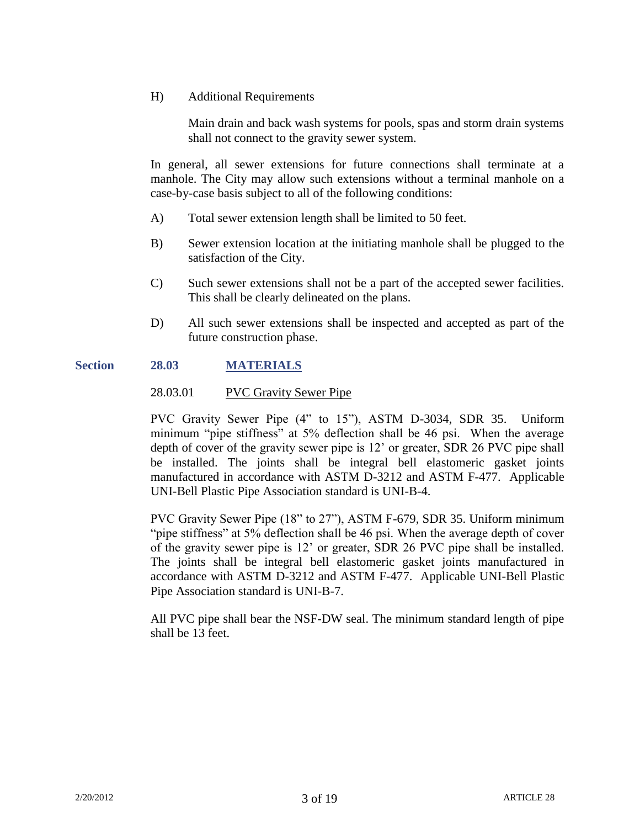H) Additional Requirements

Main drain and back wash systems for pools, spas and storm drain systems shall not connect to the gravity sewer system.

In general, all sewer extensions for future connections shall terminate at a manhole. The City may allow such extensions without a terminal manhole on a case-by-case basis subject to all of the following conditions:

- A) Total sewer extension length shall be limited to 50 feet.
- B) Sewer extension location at the initiating manhole shall be plugged to the satisfaction of the City.
- C) Such sewer extensions shall not be a part of the accepted sewer facilities. This shall be clearly delineated on the plans.
- D) All such sewer extensions shall be inspected and accepted as part of the future construction phase.

# **Section 28.03 MATERIALS**

#### 28.03.01 PVC Gravity Sewer Pipe

PVC Gravity Sewer Pipe (4" to 15"), ASTM D-3034, SDR 35. Uniform minimum "pipe stiffness" at 5% deflection shall be 46 psi. When the average depth of cover of the gravity sewer pipe is 12' or greater, SDR 26 PVC pipe shall be installed. The joints shall be integral bell elastomeric gasket joints manufactured in accordance with ASTM D-3212 and ASTM F-477. Applicable UNI-Bell Plastic Pipe Association standard is UNI-B-4.

PVC Gravity Sewer Pipe (18" to 27"), ASTM F-679, SDR 35. Uniform minimum "pipe stiffness" at 5% deflection shall be 46 psi. When the average depth of cover of the gravity sewer pipe is 12' or greater, SDR 26 PVC pipe shall be installed. The joints shall be integral bell elastomeric gasket joints manufactured in accordance with ASTM D-3212 and ASTM F-477. Applicable UNI-Bell Plastic Pipe Association standard is UNI-B-7.

All PVC pipe shall bear the NSF-DW seal. The minimum standard length of pipe shall be 13 feet.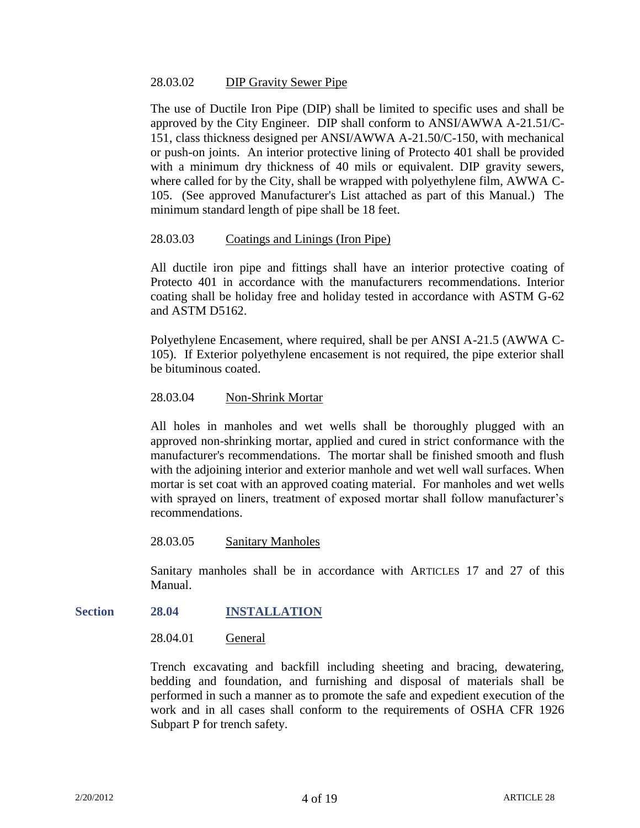## 28.03.02 DIP Gravity Sewer Pipe

The use of Ductile Iron Pipe (DIP) shall be limited to specific uses and shall be approved by the City Engineer. DIP shall conform to ANSI/AWWA A-21.51/C-151, class thickness designed per ANSI/AWWA A-21.50/C-150, with mechanical or push-on joints. An interior protective lining of Protecto 401 shall be provided with a minimum dry thickness of 40 mils or equivalent. DIP gravity sewers, where called for by the City, shall be wrapped with polyethylene film, AWWA C-105. (See approved Manufacturer's List attached as part of this Manual.) The minimum standard length of pipe shall be 18 feet.

## 28.03.03 Coatings and Linings (Iron Pipe)

All ductile iron pipe and fittings shall have an interior protective coating of Protecto 401 in accordance with the manufacturers recommendations. Interior coating shall be holiday free and holiday tested in accordance with ASTM G-62 and ASTM D5162.

Polyethylene Encasement, where required, shall be per ANSI A-21.5 (AWWA C-105). If Exterior polyethylene encasement is not required, the pipe exterior shall be bituminous coated.

#### 28.03.04 Non-Shrink Mortar

All holes in manholes and wet wells shall be thoroughly plugged with an approved non-shrinking mortar, applied and cured in strict conformance with the manufacturer's recommendations. The mortar shall be finished smooth and flush with the adjoining interior and exterior manhole and wet well wall surfaces. When mortar is set coat with an approved coating material. For manholes and wet wells with sprayed on liners, treatment of exposed mortar shall follow manufacturer's recommendations.

28.03.05 Sanitary Manholes

Sanitary manholes shall be in accordance with ARTICLES 17 and 27 of this Manual.

#### **Section 28.04 INSTALLATION**

28.04.01 General

Trench excavating and backfill including sheeting and bracing, dewatering, bedding and foundation, and furnishing and disposal of materials shall be performed in such a manner as to promote the safe and expedient execution of the work and in all cases shall conform to the requirements of OSHA CFR 1926 Subpart P for trench safety.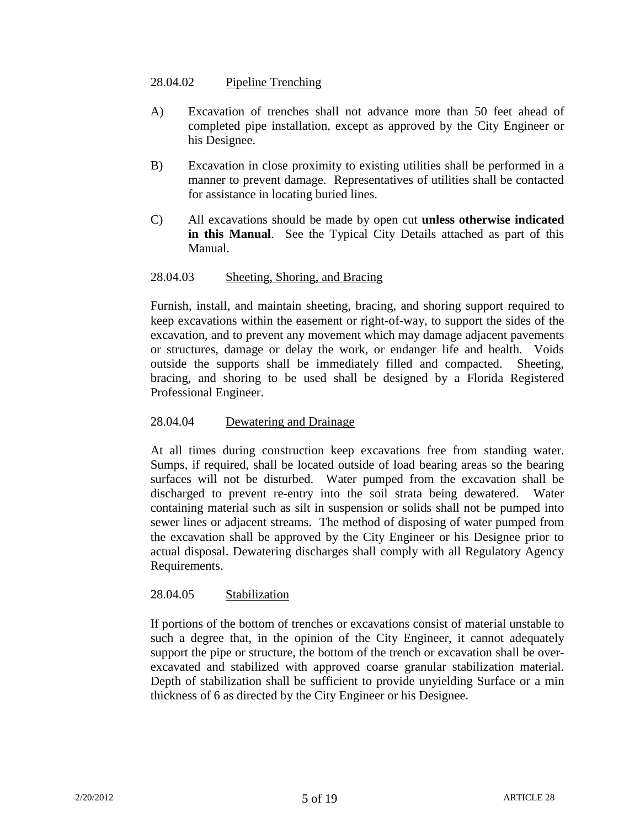# 28.04.02 Pipeline Trenching

- A) Excavation of trenches shall not advance more than 50 feet ahead of completed pipe installation, except as approved by the City Engineer or his Designee.
- B) Excavation in close proximity to existing utilities shall be performed in a manner to prevent damage. Representatives of utilities shall be contacted for assistance in locating buried lines.
- C) All excavations should be made by open cut **unless otherwise indicated in this Manual**. See the Typical City Details attached as part of this Manual.

# 28.04.03 Sheeting, Shoring, and Bracing

Furnish, install, and maintain sheeting, bracing, and shoring support required to keep excavations within the easement or right-of-way, to support the sides of the excavation, and to prevent any movement which may damage adjacent pavements or structures, damage or delay the work, or endanger life and health. Voids outside the supports shall be immediately filled and compacted. Sheeting, bracing, and shoring to be used shall be designed by a Florida Registered Professional Engineer.

## 28.04.04 Dewatering and Drainage

At all times during construction keep excavations free from standing water. Sumps, if required, shall be located outside of load bearing areas so the bearing surfaces will not be disturbed. Water pumped from the excavation shall be discharged to prevent re-entry into the soil strata being dewatered. Water containing material such as silt in suspension or solids shall not be pumped into sewer lines or adjacent streams. The method of disposing of water pumped from the excavation shall be approved by the City Engineer or his Designee prior to actual disposal. Dewatering discharges shall comply with all Regulatory Agency Requirements.

## 28.04.05 Stabilization

If portions of the bottom of trenches or excavations consist of material unstable to such a degree that, in the opinion of the City Engineer, it cannot adequately support the pipe or structure, the bottom of the trench or excavation shall be overexcavated and stabilized with approved coarse granular stabilization material. Depth of stabilization shall be sufficient to provide unyielding Surface or a min thickness of 6 as directed by the City Engineer or his Designee.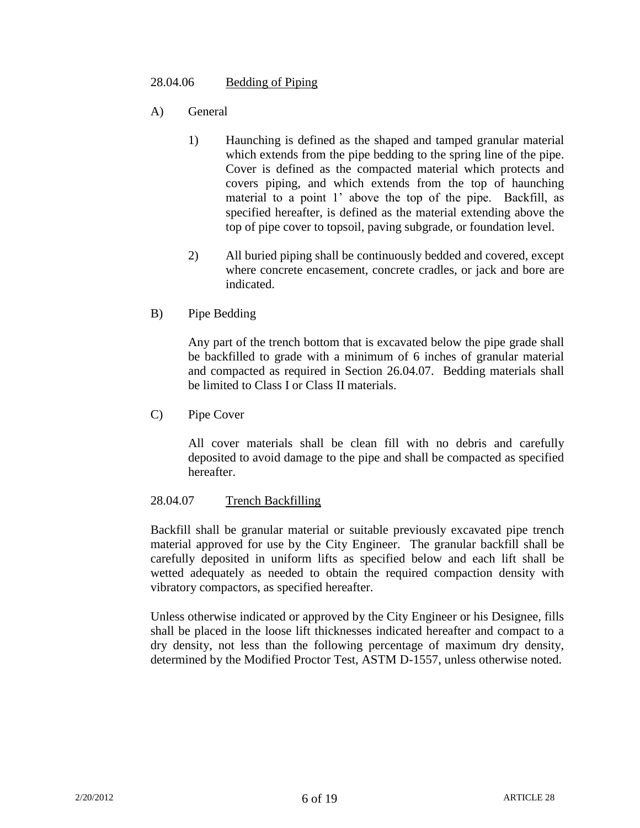# 28.04.06 Bedding of Piping

- A) General
	- 1) Haunching is defined as the shaped and tamped granular material which extends from the pipe bedding to the spring line of the pipe. Cover is defined as the compacted material which protects and covers piping, and which extends from the top of haunching material to a point 1' above the top of the pipe. Backfill, as specified hereafter, is defined as the material extending above the top of pipe cover to topsoil, paving subgrade, or foundation level.
	- 2) All buried piping shall be continuously bedded and covered, except where concrete encasement, concrete cradles, or jack and bore are indicated.
- B) Pipe Bedding

Any part of the trench bottom that is excavated below the pipe grade shall be backfilled to grade with a minimum of 6 inches of granular material and compacted as required in Section 26.04.07. Bedding materials shall be limited to Class I or Class II materials.

C) Pipe Cover

All cover materials shall be clean fill with no debris and carefully deposited to avoid damage to the pipe and shall be compacted as specified hereafter.

# 28.04.07 Trench Backfilling

Backfill shall be granular material or suitable previously excavated pipe trench material approved for use by the City Engineer. The granular backfill shall be carefully deposited in uniform lifts as specified below and each lift shall be wetted adequately as needed to obtain the required compaction density with vibratory compactors, as specified hereafter.

Unless otherwise indicated or approved by the City Engineer or his Designee, fills shall be placed in the loose lift thicknesses indicated hereafter and compact to a dry density, not less than the following percentage of maximum dry density, determined by the Modified Proctor Test, ASTM D-1557, unless otherwise noted.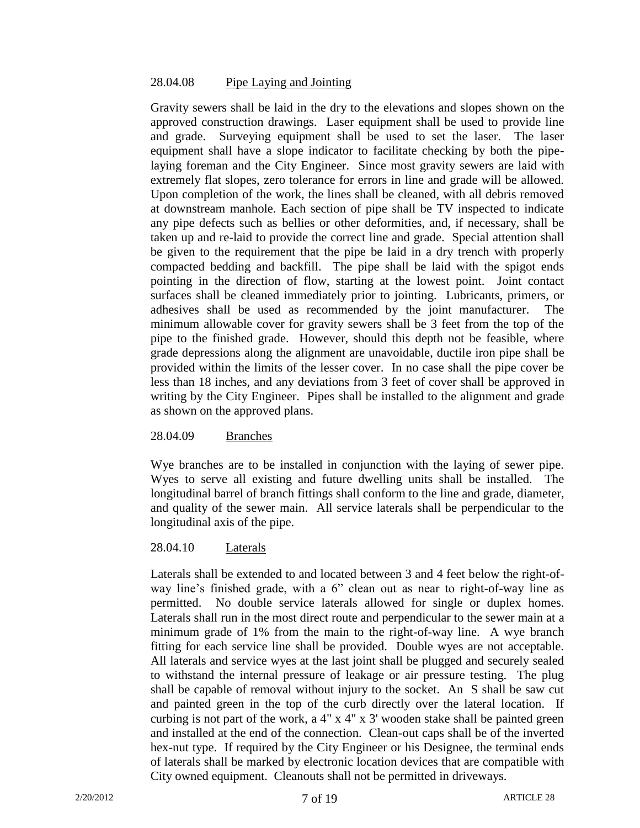## 28.04.08 Pipe Laying and Jointing

Gravity sewers shall be laid in the dry to the elevations and slopes shown on the approved construction drawings. Laser equipment shall be used to provide line and grade. Surveying equipment shall be used to set the laser. The laser equipment shall have a slope indicator to facilitate checking by both the pipelaying foreman and the City Engineer. Since most gravity sewers are laid with extremely flat slopes, zero tolerance for errors in line and grade will be allowed. Upon completion of the work, the lines shall be cleaned, with all debris removed at downstream manhole. Each section of pipe shall be TV inspected to indicate any pipe defects such as bellies or other deformities, and, if necessary, shall be taken up and re-laid to provide the correct line and grade. Special attention shall be given to the requirement that the pipe be laid in a dry trench with properly compacted bedding and backfill. The pipe shall be laid with the spigot ends pointing in the direction of flow, starting at the lowest point. Joint contact surfaces shall be cleaned immediately prior to jointing. Lubricants, primers, or adhesives shall be used as recommended by the joint manufacturer. The minimum allowable cover for gravity sewers shall be 3 feet from the top of the pipe to the finished grade. However, should this depth not be feasible, where grade depressions along the alignment are unavoidable, ductile iron pipe shall be provided within the limits of the lesser cover. In no case shall the pipe cover be less than 18 inches, and any deviations from 3 feet of cover shall be approved in writing by the City Engineer. Pipes shall be installed to the alignment and grade as shown on the approved plans.

## 28.04.09 Branches

Wye branches are to be installed in conjunction with the laying of sewer pipe. Wyes to serve all existing and future dwelling units shall be installed. The longitudinal barrel of branch fittings shall conform to the line and grade, diameter, and quality of the sewer main. All service laterals shall be perpendicular to the longitudinal axis of the pipe.

## 28.04.10 Laterals

Laterals shall be extended to and located between 3 and 4 feet below the right-ofway line's finished grade, with a 6" clean out as near to right-of-way line as permitted. No double service laterals allowed for single or duplex homes. Laterals shall run in the most direct route and perpendicular to the sewer main at a minimum grade of 1% from the main to the right-of-way line. A wye branch fitting for each service line shall be provided. Double wyes are not acceptable. All laterals and service wyes at the last joint shall be plugged and securely sealed to withstand the internal pressure of leakage or air pressure testing. The plug shall be capable of removal without injury to the socket. An S shall be saw cut and painted green in the top of the curb directly over the lateral location. If curbing is not part of the work, a 4" x 4" x 3' wooden stake shall be painted green and installed at the end of the connection. Clean-out caps shall be of the inverted hex-nut type. If required by the City Engineer or his Designee, the terminal ends of laterals shall be marked by electronic location devices that are compatible with City owned equipment. Cleanouts shall not be permitted in driveways.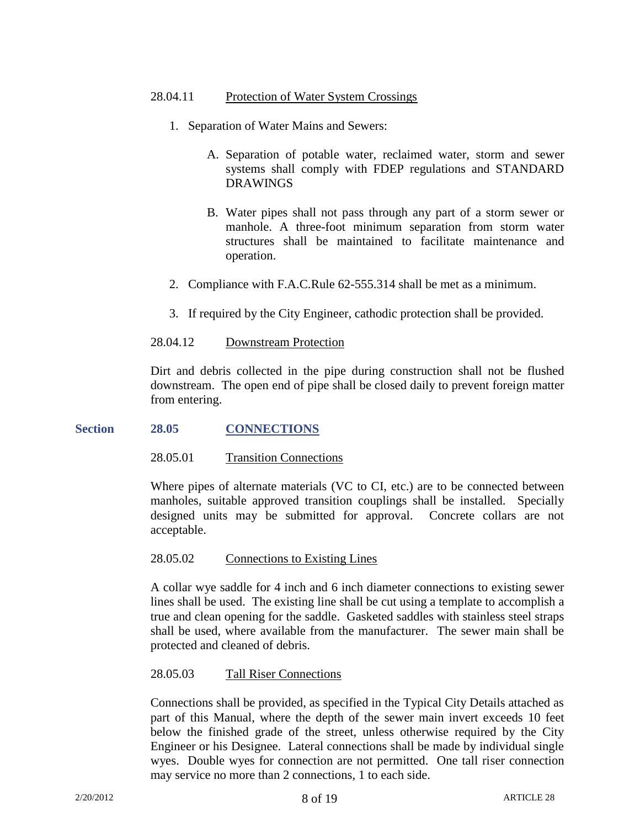## 28.04.11 Protection of Water System Crossings

- 1. Separation of Water Mains and Sewers:
	- A. Separation of potable water, reclaimed water, storm and sewer systems shall comply with FDEP regulations and STANDARD DRAWINGS
	- B. Water pipes shall not pass through any part of a storm sewer or manhole. A three-foot minimum separation from storm water structures shall be maintained to facilitate maintenance and operation.
- 2. Compliance with F.A.C.Rule 62-555.314 shall be met as a minimum.
- 3. If required by the City Engineer, cathodic protection shall be provided.

28.04.12 Downstream Protection

Dirt and debris collected in the pipe during construction shall not be flushed downstream. The open end of pipe shall be closed daily to prevent foreign matter from entering.

## **Section 28.05 CONNECTIONS**

## 28.05.01 Transition Connections

Where pipes of alternate materials (VC to CI, etc.) are to be connected between manholes, suitable approved transition couplings shall be installed. Specially designed units may be submitted for approval. Concrete collars are not acceptable.

#### 28.05.02 Connections to Existing Lines

A collar wye saddle for 4 inch and 6 inch diameter connections to existing sewer lines shall be used. The existing line shall be cut using a template to accomplish a true and clean opening for the saddle. Gasketed saddles with stainless steel straps shall be used, where available from the manufacturer. The sewer main shall be protected and cleaned of debris.

#### 28.05.03 Tall Riser Connections

Connections shall be provided, as specified in the Typical City Details attached as part of this Manual, where the depth of the sewer main invert exceeds 10 feet below the finished grade of the street, unless otherwise required by the City Engineer or his Designee. Lateral connections shall be made by individual single wyes. Double wyes for connection are not permitted. One tall riser connection may service no more than 2 connections, 1 to each side.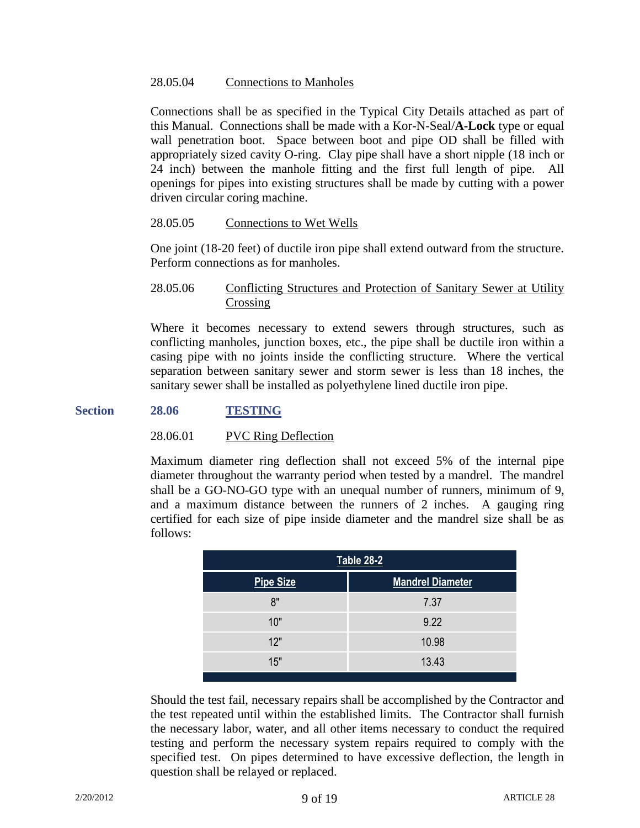## 28.05.04 Connections to Manholes

Connections shall be as specified in the Typical City Details attached as part of this Manual. Connections shall be made with a Kor-N-Seal/**A-Lock** type or equal wall penetration boot. Space between boot and pipe OD shall be filled with appropriately sized cavity O-ring. Clay pipe shall have a short nipple (18 inch or 24 inch) between the manhole fitting and the first full length of pipe. All openings for pipes into existing structures shall be made by cutting with a power driven circular coring machine.

#### 28.05.05 Connections to Wet Wells

One joint (18-20 feet) of ductile iron pipe shall extend outward from the structure. Perform connections as for manholes.

## 28.05.06 Conflicting Structures and Protection of Sanitary Sewer at Utility Crossing

Where it becomes necessary to extend sewers through structures, such as conflicting manholes, junction boxes, etc., the pipe shall be ductile iron within a casing pipe with no joints inside the conflicting structure. Where the vertical separation between sanitary sewer and storm sewer is less than 18 inches, the sanitary sewer shall be installed as polyethylene lined ductile iron pipe.

#### **Section 28.06 TESTING**

#### 28.06.01 PVC Ring Deflection

Maximum diameter ring deflection shall not exceed 5% of the internal pipe diameter throughout the warranty period when tested by a mandrel. The mandrel shall be a GO-NO-GO type with an unequal number of runners, minimum of 9, and a maximum distance between the runners of 2 inches. A gauging ring certified for each size of pipe inside diameter and the mandrel size shall be as follows:

| <b>Table 28-2</b> |                         |  |  |
|-------------------|-------------------------|--|--|
| <b>Pipe Size</b>  | <b>Mandrel Diameter</b> |  |  |
| 8"                | 7.37                    |  |  |
| 10"               | 9.22                    |  |  |
| 12"               | 10.98                   |  |  |
| 15"               | 13.43                   |  |  |

Should the test fail, necessary repairs shall be accomplished by the Contractor and the test repeated until within the established limits. The Contractor shall furnish the necessary labor, water, and all other items necessary to conduct the required testing and perform the necessary system repairs required to comply with the specified test. On pipes determined to have excessive deflection, the length in question shall be relayed or replaced.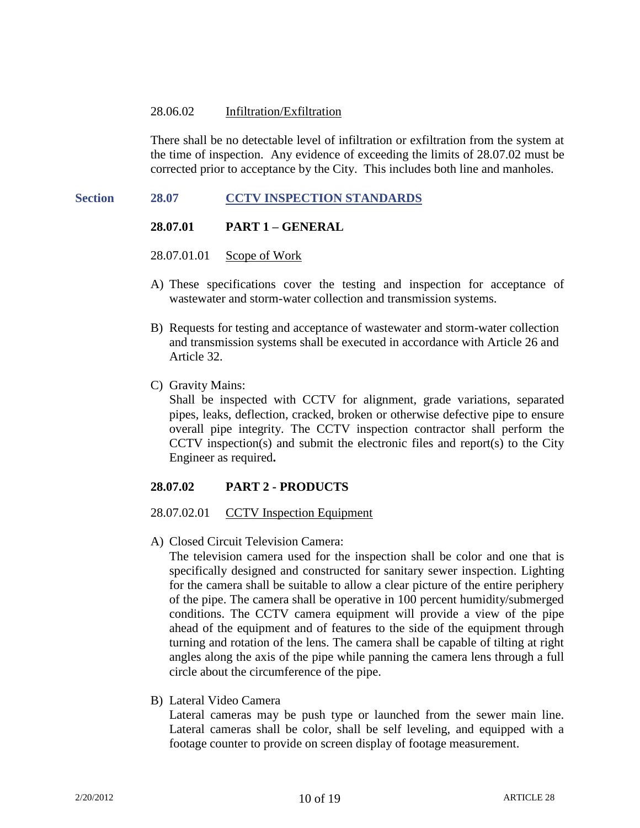#### 28.06.02 Infiltration/Exfiltration

There shall be no detectable level of infiltration or exfiltration from the system at the time of inspection. Any evidence of exceeding the limits of 28.07.02 must be corrected prior to acceptance by the City. This includes both line and manholes.

## **Section 28.07 CCTV INSPECTION STANDARDS**

#### **28.07.01 PART 1 – GENERAL**

- 28.07.01.01 Scope of Work
- A) These specifications cover the testing and inspection for acceptance of wastewater and storm-water collection and transmission systems.
- B) Requests for testing and acceptance of wastewater and storm-water collection and transmission systems shall be executed in accordance with Article 26 and Article 32.
- C) Gravity Mains:

Shall be inspected with CCTV for alignment, grade variations, separated pipes, leaks, deflection, cracked, broken or otherwise defective pipe to ensure overall pipe integrity. The CCTV inspection contractor shall perform the CCTV inspection(s) and submit the electronic files and report(s) to the City Engineer as required**.**

## **28.07.02 PART 2 - PRODUCTS**

#### 28.07.02.01 CCTV Inspection Equipment

A) Closed Circuit Television Camera:

The television camera used for the inspection shall be color and one that is specifically designed and constructed for sanitary sewer inspection. Lighting for the camera shall be suitable to allow a clear picture of the entire periphery of the pipe. The camera shall be operative in 100 percent humidity/submerged conditions. The CCTV camera equipment will provide a view of the pipe ahead of the equipment and of features to the side of the equipment through turning and rotation of the lens. The camera shall be capable of tilting at right angles along the axis of the pipe while panning the camera lens through a full circle about the circumference of the pipe.

B) Lateral Video Camera

Lateral cameras may be push type or launched from the sewer main line. Lateral cameras shall be color, shall be self leveling, and equipped with a footage counter to provide on screen display of footage measurement.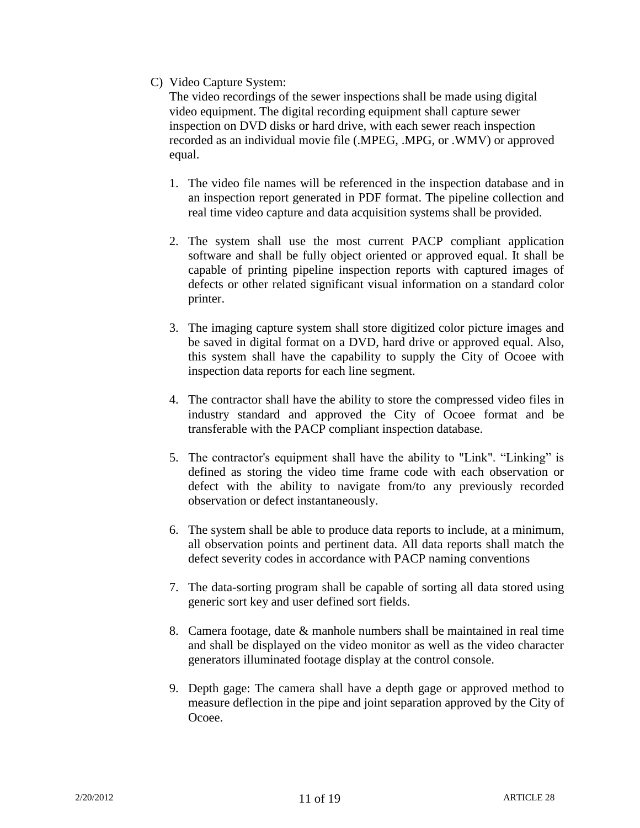C) Video Capture System:

The video recordings of the sewer inspections shall be made using digital video equipment. The digital recording equipment shall capture sewer inspection on DVD disks or hard drive, with each sewer reach inspection recorded as an individual movie file (.MPEG, .MPG, or .WMV) or approved equal.

- 1. The video file names will be referenced in the inspection database and in an inspection report generated in PDF format. The pipeline collection and real time video capture and data acquisition systems shall be provided.
- 2. The system shall use the most current PACP compliant application software and shall be fully object oriented or approved equal. It shall be capable of printing pipeline inspection reports with captured images of defects or other related significant visual information on a standard color printer.
- 3. The imaging capture system shall store digitized color picture images and be saved in digital format on a DVD, hard drive or approved equal. Also, this system shall have the capability to supply the City of Ocoee with inspection data reports for each line segment.
- 4. The contractor shall have the ability to store the compressed video files in industry standard and approved the City of Ocoee format and be transferable with the PACP compliant inspection database.
- 5. The contractor's equipment shall have the ability to "Link". "Linking" is defined as storing the video time frame code with each observation or defect with the ability to navigate from/to any previously recorded observation or defect instantaneously.
- 6. The system shall be able to produce data reports to include, at a minimum, all observation points and pertinent data. All data reports shall match the defect severity codes in accordance with PACP naming conventions
- 7. The data-sorting program shall be capable of sorting all data stored using generic sort key and user defined sort fields.
- 8. Camera footage, date & manhole numbers shall be maintained in real time and shall be displayed on the video monitor as well as the video character generators illuminated footage display at the control console.
- 9. Depth gage: The camera shall have a depth gage or approved method to measure deflection in the pipe and joint separation approved by the City of Ocoee.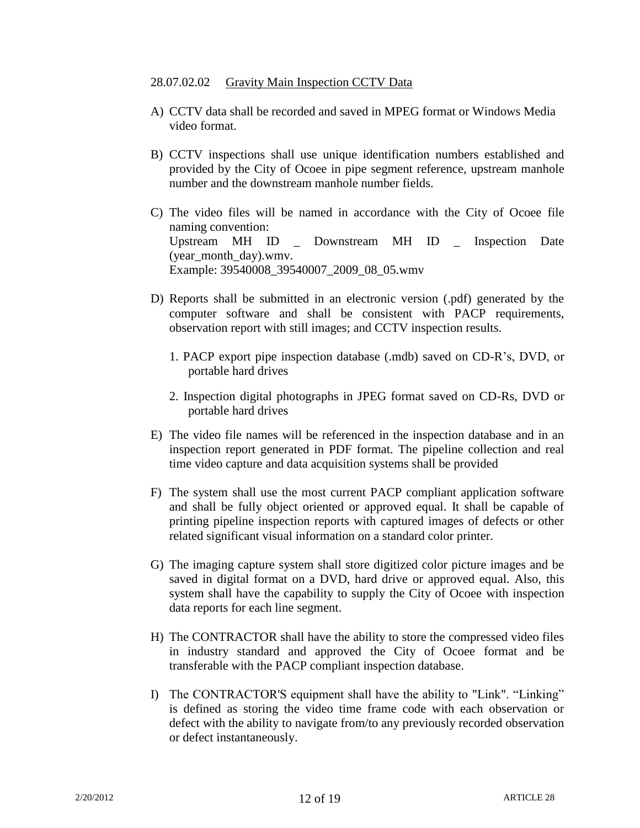## 28.07.02.02 Gravity Main Inspection CCTV Data

- A) CCTV data shall be recorded and saved in MPEG format or Windows Media video format.
- B) CCTV inspections shall use unique identification numbers established and provided by the City of Ocoee in pipe segment reference, upstream manhole number and the downstream manhole number fields.
- C) The video files will be named in accordance with the City of Ocoee file naming convention: Upstream MH ID \_ Downstream MH ID \_ Inspection Date (year\_month\_day).wmv. Example: 39540008\_39540007\_2009\_08\_05.wmv
- D) Reports shall be submitted in an electronic version (.pdf) generated by the computer software and shall be consistent with PACP requirements, observation report with still images; and CCTV inspection results.
	- 1. PACP export pipe inspection database (.mdb) saved on CD-R's, DVD, or portable hard drives
	- 2. Inspection digital photographs in JPEG format saved on CD-Rs, DVD or portable hard drives
- E) The video file names will be referenced in the inspection database and in an inspection report generated in PDF format. The pipeline collection and real time video capture and data acquisition systems shall be provided
- F) The system shall use the most current PACP compliant application software and shall be fully object oriented or approved equal. It shall be capable of printing pipeline inspection reports with captured images of defects or other related significant visual information on a standard color printer.
- G) The imaging capture system shall store digitized color picture images and be saved in digital format on a DVD, hard drive or approved equal. Also, this system shall have the capability to supply the City of Ocoee with inspection data reports for each line segment.
- H) The CONTRACTOR shall have the ability to store the compressed video files in industry standard and approved the City of Ocoee format and be transferable with the PACP compliant inspection database.
- I) The CONTRACTOR'S equipment shall have the ability to "Link". "Linking" is defined as storing the video time frame code with each observation or defect with the ability to navigate from/to any previously recorded observation or defect instantaneously.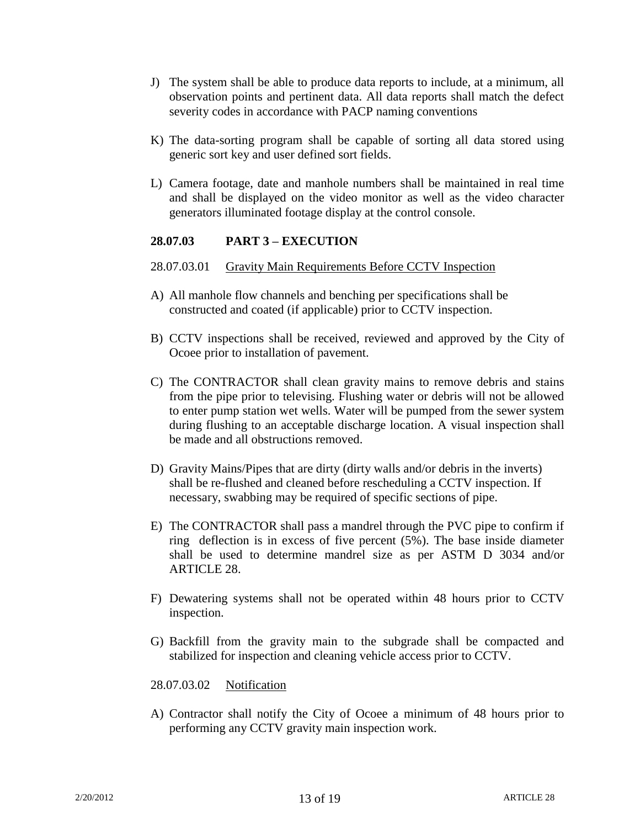- J) The system shall be able to produce data reports to include, at a minimum, all observation points and pertinent data. All data reports shall match the defect severity codes in accordance with PACP naming conventions
- K) The data-sorting program shall be capable of sorting all data stored using generic sort key and user defined sort fields.
- L) Camera footage, date and manhole numbers shall be maintained in real time and shall be displayed on the video monitor as well as the video character generators illuminated footage display at the control console.

# **28.07.03 PART 3 – EXECUTION**

- 28.07.03.01 Gravity Main Requirements Before CCTV Inspection
- A) All manhole flow channels and benching per specifications shall be constructed and coated (if applicable) prior to CCTV inspection.
- B) CCTV inspections shall be received, reviewed and approved by the City of Ocoee prior to installation of pavement.
- C) The CONTRACTOR shall clean gravity mains to remove debris and stains from the pipe prior to televising. Flushing water or debris will not be allowed to enter pump station wet wells. Water will be pumped from the sewer system during flushing to an acceptable discharge location. A visual inspection shall be made and all obstructions removed.
- D) Gravity Mains/Pipes that are dirty (dirty walls and/or debris in the inverts) shall be re-flushed and cleaned before rescheduling a CCTV inspection. If necessary, swabbing may be required of specific sections of pipe.
- E) The CONTRACTOR shall pass a mandrel through the PVC pipe to confirm if ring deflection is in excess of five percent (5%). The base inside diameter shall be used to determine mandrel size as per ASTM D 3034 and/or ARTICLE 28.
- F) Dewatering systems shall not be operated within 48 hours prior to CCTV inspection.
- G) Backfill from the gravity main to the subgrade shall be compacted and stabilized for inspection and cleaning vehicle access prior to CCTV.
- 28.07.03.02 Notification
- A) Contractor shall notify the City of Ocoee a minimum of 48 hours prior to performing any CCTV gravity main inspection work.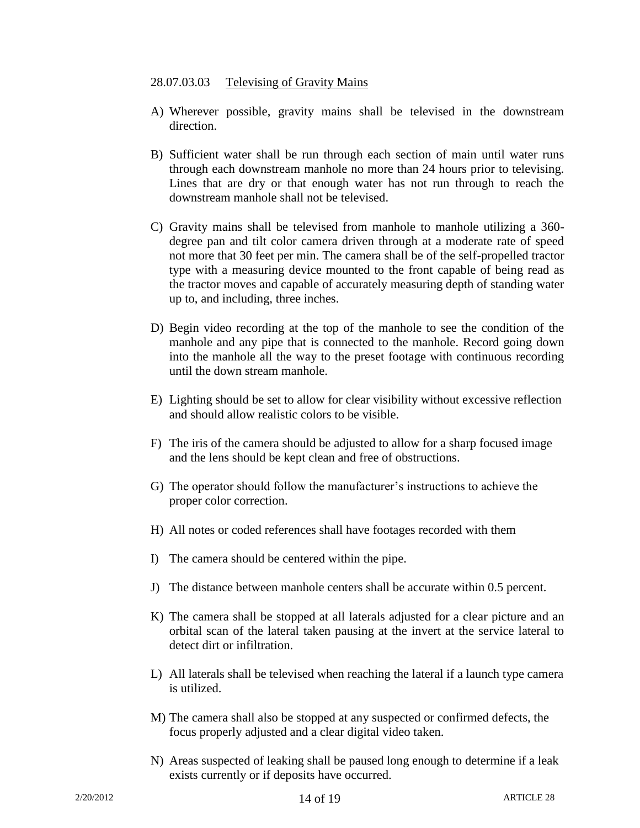#### 28.07.03.03 Televising of Gravity Mains

- A) Wherever possible, gravity mains shall be televised in the downstream direction.
- B) Sufficient water shall be run through each section of main until water runs through each downstream manhole no more than 24 hours prior to televising. Lines that are dry or that enough water has not run through to reach the downstream manhole shall not be televised.
- C) Gravity mains shall be televised from manhole to manhole utilizing a 360 degree pan and tilt color camera driven through at a moderate rate of speed not more that 30 feet per min. The camera shall be of the self-propelled tractor type with a measuring device mounted to the front capable of being read as the tractor moves and capable of accurately measuring depth of standing water up to, and including, three inches.
- D) Begin video recording at the top of the manhole to see the condition of the manhole and any pipe that is connected to the manhole. Record going down into the manhole all the way to the preset footage with continuous recording until the down stream manhole.
- E) Lighting should be set to allow for clear visibility without excessive reflection and should allow realistic colors to be visible.
- F) The iris of the camera should be adjusted to allow for a sharp focused image and the lens should be kept clean and free of obstructions.
- G) The operator should follow the manufacturer's instructions to achieve the proper color correction.
- H) All notes or coded references shall have footages recorded with them
- I) The camera should be centered within the pipe.
- J) The distance between manhole centers shall be accurate within 0.5 percent.
- K) The camera shall be stopped at all laterals adjusted for a clear picture and an orbital scan of the lateral taken pausing at the invert at the service lateral to detect dirt or infiltration.
- L) All laterals shall be televised when reaching the lateral if a launch type camera is utilized.
- M) The camera shall also be stopped at any suspected or confirmed defects, the focus properly adjusted and a clear digital video taken.
- N) Areas suspected of leaking shall be paused long enough to determine if a leak exists currently or if deposits have occurred.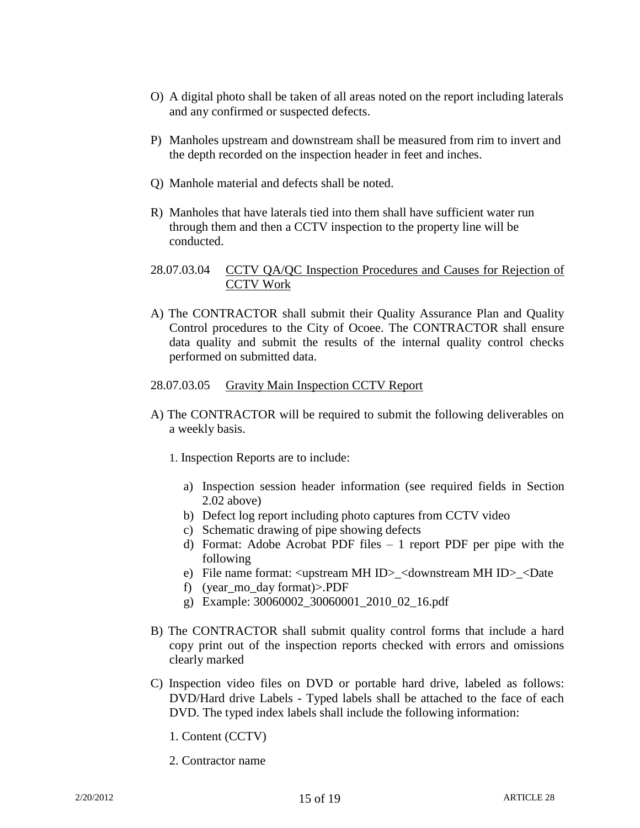- O) A digital photo shall be taken of all areas noted on the report including laterals and any confirmed or suspected defects.
- P) Manholes upstream and downstream shall be measured from rim to invert and the depth recorded on the inspection header in feet and inches.
- Q) Manhole material and defects shall be noted.
- R) Manholes that have laterals tied into them shall have sufficient water run through them and then a CCTV inspection to the property line will be conducted.
- 28.07.03.04 CCTV QA/QC Inspection Procedures and Causes for Rejection of CCTV Work
- A) The CONTRACTOR shall submit their Quality Assurance Plan and Quality Control procedures to the City of Ocoee. The CONTRACTOR shall ensure data quality and submit the results of the internal quality control checks performed on submitted data.

#### 28.07.03.05 Gravity Main Inspection CCTV Report

- A) The CONTRACTOR will be required to submit the following deliverables on a weekly basis.
	- 1. Inspection Reports are to include:
		- a) Inspection session header information (see required fields in Section 2.02 above)
		- b) Defect log report including photo captures from CCTV video
		- c) Schematic drawing of pipe showing defects
		- d) Format: Adobe Acrobat PDF files 1 report PDF per pipe with the following
		- e) File name format: <upstream MH ID>\_<downstream MH ID>\_<Date
		- f) (year\_mo\_day format)>.PDF
		- g) Example: 30060002\_30060001\_2010\_02\_16.pdf
- B) The CONTRACTOR shall submit quality control forms that include a hard copy print out of the inspection reports checked with errors and omissions clearly marked
- C) Inspection video files on DVD or portable hard drive, labeled as follows: DVD/Hard drive Labels - Typed labels shall be attached to the face of each DVD. The typed index labels shall include the following information:
	- 1. Content (CCTV)
	- 2. Contractor name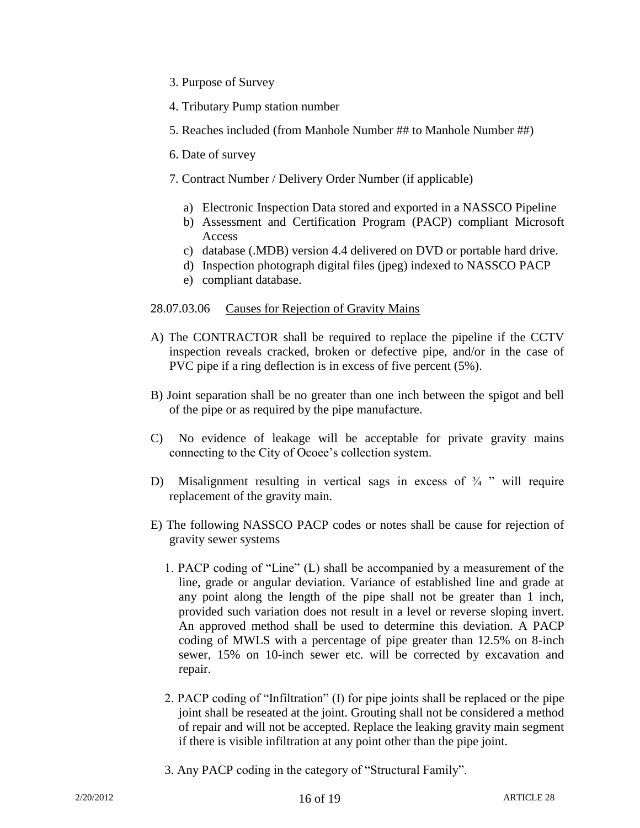- 3. Purpose of Survey
- 4. Tributary Pump station number
- 5. Reaches included (from Manhole Number ## to Manhole Number ##)
- 6. Date of survey
- 7. Contract Number / Delivery Order Number (if applicable)
	- a) Electronic Inspection Data stored and exported in a NASSCO Pipeline
	- b) Assessment and Certification Program (PACP) compliant Microsoft Access
	- c) database (.MDB) version 4.4 delivered on DVD or portable hard drive.
	- d) Inspection photograph digital files (jpeg) indexed to NASSCO PACP
	- e) compliant database.

## 28.07.03.06 Causes for Rejection of Gravity Mains

- A) The CONTRACTOR shall be required to replace the pipeline if the CCTV inspection reveals cracked, broken or defective pipe, and/or in the case of PVC pipe if a ring deflection is in excess of five percent (5%).
- B) Joint separation shall be no greater than one inch between the spigot and bell of the pipe or as required by the pipe manufacture.
- C) No evidence of leakage will be acceptable for private gravity mains connecting to the City of Ocoee's collection system.
- D) Misalignment resulting in vertical sags in excess of  $\frac{3}{4}$  " will require replacement of the gravity main.
- E) The following NASSCO PACP codes or notes shall be cause for rejection of gravity sewer systems
	- 1. PACP coding of "Line" (L) shall be accompanied by a measurement of the line, grade or angular deviation. Variance of established line and grade at any point along the length of the pipe shall not be greater than 1 inch, provided such variation does not result in a level or reverse sloping invert. An approved method shall be used to determine this deviation. A PACP coding of MWLS with a percentage of pipe greater than 12.5% on 8-inch sewer, 15% on 10-inch sewer etc. will be corrected by excavation and repair.
	- 2. PACP coding of "Infiltration" (I) for pipe joints shall be replaced or the pipe joint shall be reseated at the joint. Grouting shall not be considered a method of repair and will not be accepted. Replace the leaking gravity main segment if there is visible infiltration at any point other than the pipe joint.
	- 3. Any PACP coding in the category of "Structural Family".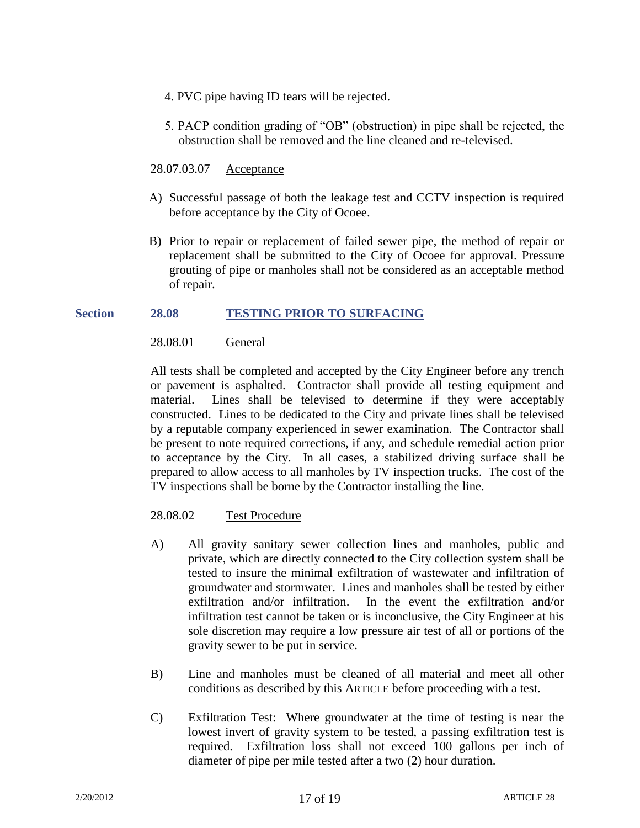- 4. PVC pipe having ID tears will be rejected.
- 5. PACP condition grading of "OB" (obstruction) in pipe shall be rejected, the obstruction shall be removed and the line cleaned and re-televised.
- 28.07.03.07 Acceptance
- A) Successful passage of both the leakage test and CCTV inspection is required before acceptance by the City of Ocoee.
- B) Prior to repair or replacement of failed sewer pipe, the method of repair or replacement shall be submitted to the City of Ocoee for approval. Pressure grouting of pipe or manholes shall not be considered as an acceptable method of repair.

# **Section 28.08 TESTING PRIOR TO SURFACING**

# 28.08.01 General

All tests shall be completed and accepted by the City Engineer before any trench or pavement is asphalted. Contractor shall provide all testing equipment and material. Lines shall be televised to determine if they were acceptably constructed. Lines to be dedicated to the City and private lines shall be televised by a reputable company experienced in sewer examination. The Contractor shall be present to note required corrections, if any, and schedule remedial action prior to acceptance by the City. In all cases, a stabilized driving surface shall be prepared to allow access to all manholes by TV inspection trucks. The cost of the TV inspections shall be borne by the Contractor installing the line.

## 28.08.02 Test Procedure

- A) All gravity sanitary sewer collection lines and manholes, public and private, which are directly connected to the City collection system shall be tested to insure the minimal exfiltration of wastewater and infiltration of groundwater and stormwater. Lines and manholes shall be tested by either exfiltration and/or infiltration. In the event the exfiltration and/or infiltration test cannot be taken or is inconclusive, the City Engineer at his sole discretion may require a low pressure air test of all or portions of the gravity sewer to be put in service.
- B) Line and manholes must be cleaned of all material and meet all other conditions as described by this ARTICLE before proceeding with a test.
- C) Exfiltration Test: Where groundwater at the time of testing is near the lowest invert of gravity system to be tested, a passing exfiltration test is required. Exfiltration loss shall not exceed 100 gallons per inch of diameter of pipe per mile tested after a two (2) hour duration.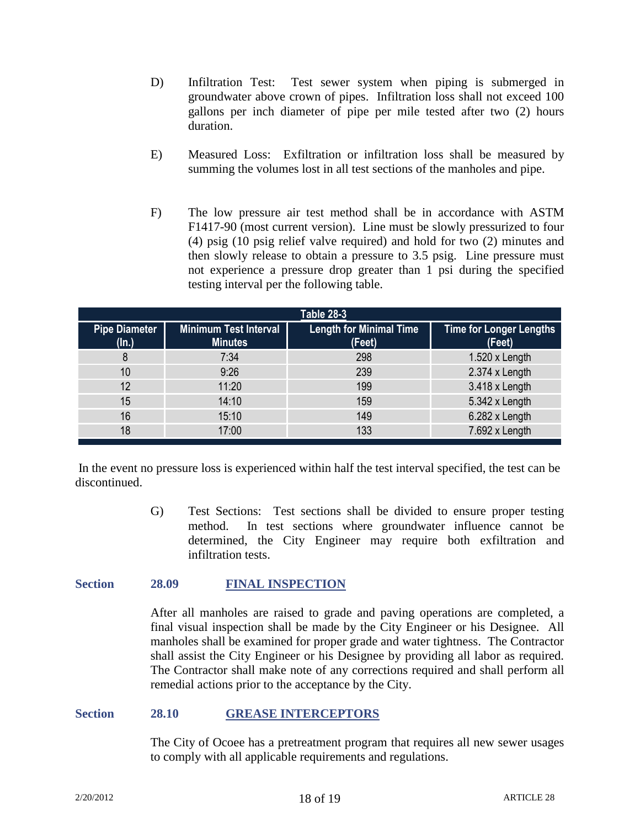- D) Infiltration Test: Test sewer system when piping is submerged in groundwater above crown of pipes. Infiltration loss shall not exceed 100 gallons per inch diameter of pipe per mile tested after two (2) hours duration.
- E) Measured Loss: Exfiltration or infiltration loss shall be measured by summing the volumes lost in all test sections of the manholes and pipe.
- F) The low pressure air test method shall be in accordance with ASTM F1417-90 (most current version). Line must be slowly pressurized to four (4) psig (10 psig relief valve required) and hold for two (2) minutes and then slowly release to obtain a pressure to 3.5 psig. Line pressure must not experience a pressure drop greater than 1 psi during the specified testing interval per the following table.

| <b>Table 28-3</b>             |                                                |                                          |                                   |  |
|-------------------------------|------------------------------------------------|------------------------------------------|-----------------------------------|--|
| <b>Pipe Diameter</b><br>(ln.) | <b>Minimum Test Interval</b><br><b>Minutes</b> | <b>Length for Minimal Time</b><br>(Feet) | Time for Longer Lengths<br>(Feet) |  |
|                               | 7:34                                           | 298                                      | $1.520 \times$ Length             |  |
| 10 <sup>°</sup>               | 9:26                                           | 239                                      | 2.374 x Length                    |  |
| 12                            | 11:20                                          | 199                                      | 3.418 x Length                    |  |
| 15                            | 14:10                                          | 159                                      | 5.342 x Length                    |  |
| 16                            | 15:10                                          | 149                                      | 6.282 x Length                    |  |
| 18                            | 17:00                                          | 133                                      | 7.692 x Length                    |  |

In the event no pressure loss is experienced within half the test interval specified, the test can be discontinued.

> G) Test Sections: Test sections shall be divided to ensure proper testing method. In test sections where groundwater influence cannot be determined, the City Engineer may require both exfiltration and infiltration tests.

#### **Section 28.09 FINAL INSPECTION**

After all manholes are raised to grade and paving operations are completed, a final visual inspection shall be made by the City Engineer or his Designee. All manholes shall be examined for proper grade and water tightness. The Contractor shall assist the City Engineer or his Designee by providing all labor as required. The Contractor shall make note of any corrections required and shall perform all remedial actions prior to the acceptance by the City.

## **Section 28.10 GREASE INTERCEPTORS**

The City of Ocoee has a pretreatment program that requires all new sewer usages to comply with all applicable requirements and regulations.